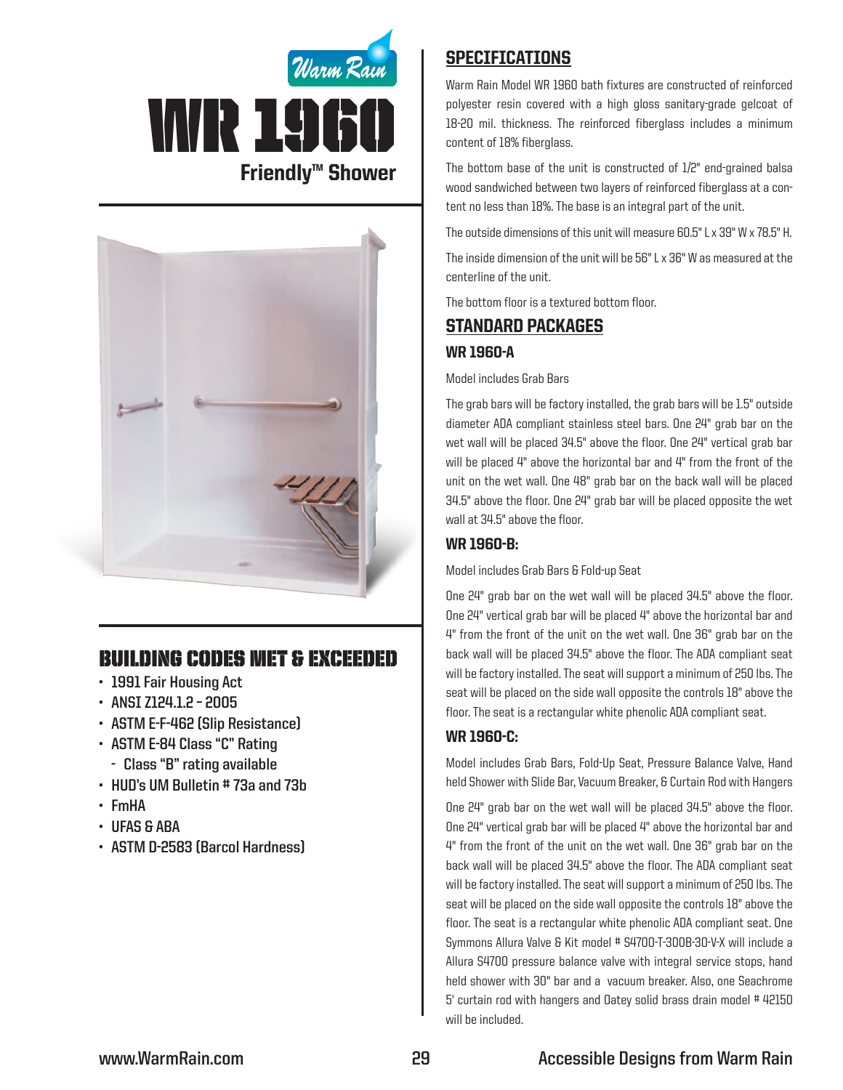



# Building Codes Met & EXCEEDED

- **• 1991 Fair Housing Act**
- **• ANSI Z124.1.2 – 2005**
- **• ASTM E-F-462 (Slip Resistance)**
- **• ASTM E-84 Class "C" Rating**
	- **- Class "B" rating available**
- **• HUD's UM Bulletin # 73a and 73b**
- **• FmHA**
- **• UFAS & ABA**
- **• ASTM D-2583 (Barcol Hardness)**

## **SPECIFICATIONS**

Warm Rain Model WR 1960 bath fixtures are constructed of reinforced polyester resin covered with a high gloss sanitary-grade gelcoat of 18-20 mil. thickness. The reinforced fiberglass includes a minimum content of 18% fiberglass.

The bottom base of the unit is constructed of 1/2" end-grained balsa wood sandwiched between two layers of reinforced fiberglass at a content no less than 18%. The base is an integral part of the unit.

The outside dimensions of this unit will measure 60.5" L x 39" W x 78.5" H.

The inside dimension of the unit will be 56" L x 36" W as measured at the centerline of the unit.

The bottom floor is a textured bottom floor.

## Standard packages

#### WR 1960-A

Model includes Grab Bars

The grab bars will be factory installed, the grab bars will be 1.5" outside diameter ADA compliant stainless steel bars. One 24" grab bar on the wet wall will be placed 34.5" above the floor. One 24" vertical grab bar will be placed 4" above the horizontal bar and 4" from the front of the unit on the wet wall. One 48" grab bar on the back wall will be placed 34.5" above the floor. One 24" grab bar will be placed opposite the wet wall at 34.5" above the floor.

### WR 1960-B:

Model includes Grab Bars & Fold-up Seat

One 24" grab bar on the wet wall will be placed 34.5" above the floor. One 24" vertical grab bar will be placed 4" above the horizontal bar and 4" from the front of the unit on the wet wall. One 36" grab bar on the back wall will be placed 34.5" above the floor. The ADA compliant seat will be factory installed. The seat will support a minimum of 250 lbs. The seat will be placed on the side wall opposite the controls 18" above the floor. The seat is a rectangular white phenolic ADA compliant seat.

#### WR 1960-C:

Model includes Grab Bars, Fold-Up Seat, Pressure Balance Valve, Hand held Shower with Slide Bar, Vacuum Breaker, & Curtain Rod with Hangers

One 24" grab bar on the wet wall will be placed 34.5" above the floor. One 24" vertical grab bar will be placed 4" above the horizontal bar and 4" from the front of the unit on the wet wall. One 36" grab bar on the back wall will be placed 34.5" above the floor. The ADA compliant seat will be factory installed. The seat will support a minimum of 250 lbs. The seat will be placed on the side wall opposite the controls 18" above the floor. The seat is a rectangular white phenolic ADA compliant seat. One Symmons Allura Valve & Kit model # S4700-T-300B-30-V-X will include a Allura S4700 pressure balance valve with integral service stops, hand held shower with 30" bar and a vacuum breaker. Also, one Seachrome 5' curtain rod with hangers and Oatey solid brass drain model # 42150 will be included.

# **www.WarmRain.com 29 Accessible Designs from Warm Rain**